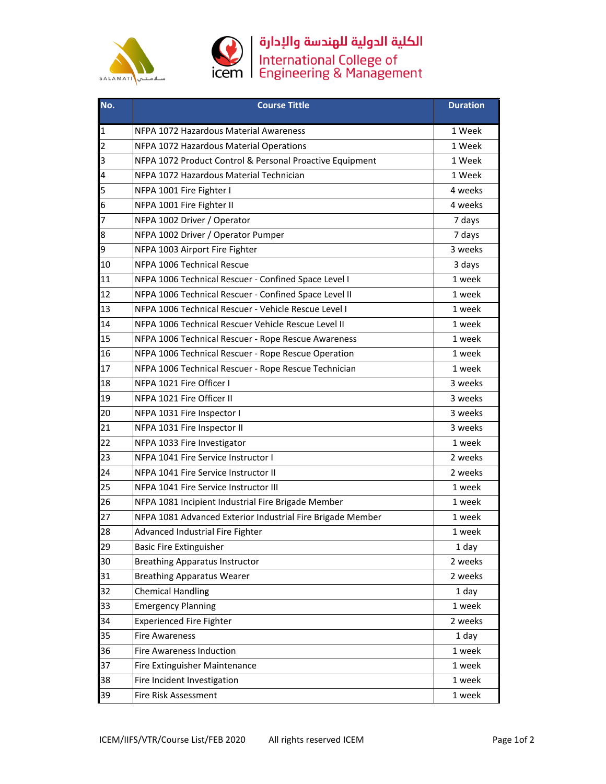



## الكلية الدولية للهندسة والإدارة<br>International College of<br>Engineering & Management

| No.          | <b>Course Tittle</b>                                       | <b>Duration</b> |
|--------------|------------------------------------------------------------|-----------------|
| $\mathbf{1}$ | NFPA 1072 Hazardous Material Awareness                     | 1 Week          |
| 2            | NFPA 1072 Hazardous Material Operations                    | 1 Week          |
| 3            | NFPA 1072 Product Control & Personal Proactive Equipment   | 1 Week          |
| 4            | NFPA 1072 Hazardous Material Technician                    | 1 Week          |
| 5            | NFPA 1001 Fire Fighter I                                   | 4 weeks         |
| 6            | NFPA 1001 Fire Fighter II                                  | 4 weeks         |
| 7            | NFPA 1002 Driver / Operator                                | 7 days          |
| 8            | NFPA 1002 Driver / Operator Pumper                         | 7 days          |
| 9            | NFPA 1003 Airport Fire Fighter                             | 3 weeks         |
| 10           | NFPA 1006 Technical Rescue                                 | 3 days          |
| 11           | NFPA 1006 Technical Rescuer - Confined Space Level I       | 1 week          |
| 12           | NFPA 1006 Technical Rescuer - Confined Space Level II      | 1 week          |
| 13           | NFPA 1006 Technical Rescuer - Vehicle Rescue Level I       | 1 week          |
| 14           | NFPA 1006 Technical Rescuer Vehicle Rescue Level II        | 1 week          |
| 15           | NFPA 1006 Technical Rescuer - Rope Rescue Awareness        | 1 week          |
| 16           | NFPA 1006 Technical Rescuer - Rope Rescue Operation        | 1 week          |
| 17           | NFPA 1006 Technical Rescuer - Rope Rescue Technician       | 1 week          |
| 18           | NFPA 1021 Fire Officer I                                   | 3 weeks         |
| 19           | NFPA 1021 Fire Officer II                                  | 3 weeks         |
| 20           | NFPA 1031 Fire Inspector I                                 | 3 weeks         |
| 21           | NFPA 1031 Fire Inspector II                                | 3 weeks         |
| 22           | NFPA 1033 Fire Investigator                                | 1 week          |
| 23           | NFPA 1041 Fire Service Instructor I                        | 2 weeks         |
| 24           | NFPA 1041 Fire Service Instructor II                       | 2 weeks         |
| 25           | NFPA 1041 Fire Service Instructor III                      | 1 week          |
| 26           | NFPA 1081 Incipient Industrial Fire Brigade Member         | 1 week          |
| 27           | NFPA 1081 Advanced Exterior Industrial Fire Brigade Member | 1 week          |
| 28           | Advanced Industrial Fire Fighter                           | 1 week          |
| 29           | <b>Basic Fire Extinguisher</b>                             | 1 day           |
| 30           | <b>Breathing Apparatus Instructor</b>                      | 2 weeks         |
| 31           | <b>Breathing Apparatus Wearer</b>                          | 2 weeks         |
| 32           | <b>Chemical Handling</b>                                   | 1 day           |
| 33           | <b>Emergency Planning</b>                                  | 1 week          |
| 34           | <b>Experienced Fire Fighter</b>                            | 2 weeks         |
| 35           | <b>Fire Awareness</b>                                      | 1 day           |
| 36           | <b>Fire Awareness Induction</b>                            | 1 week          |
| 37           | Fire Extinguisher Maintenance                              | 1 week          |
| 38           | Fire Incident Investigation                                | 1 week          |
| 39           | Fire Risk Assessment                                       | 1 week          |